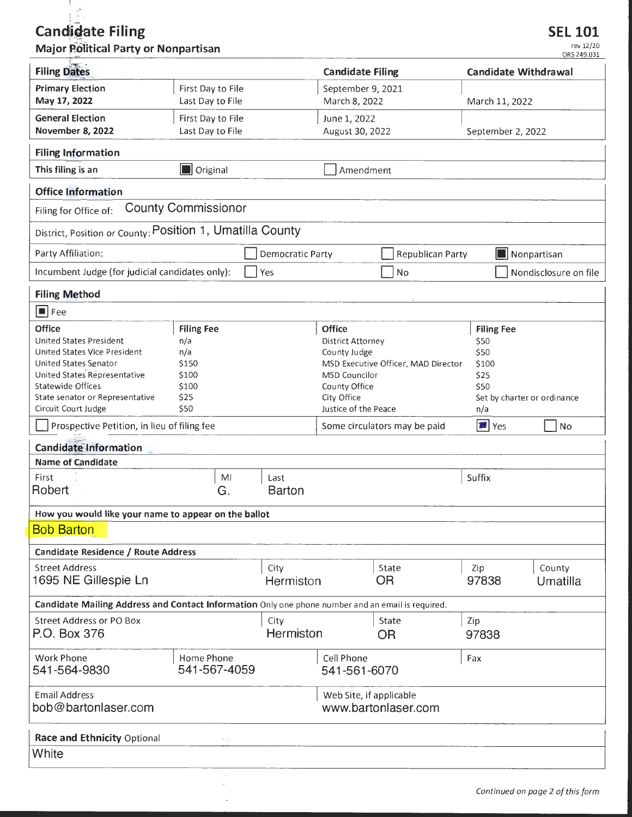# **Candidate Filing**

 $\mathcal{A}$  $\tilde{\phantom{a}}$ 

# Major Political Party or Nonpartisan

| <b>Filing Dates</b>                                                                                                                                                                                                                                                                      |                                                                            |                       | <b>Candidate Filing</b>                                                                                              |                                                                     |                                                                                   | <b>Candidate Withdrawal</b>       |  |
|------------------------------------------------------------------------------------------------------------------------------------------------------------------------------------------------------------------------------------------------------------------------------------------|----------------------------------------------------------------------------|-----------------------|----------------------------------------------------------------------------------------------------------------------|---------------------------------------------------------------------|-----------------------------------------------------------------------------------|-----------------------------------|--|
| <b>Primary Election</b><br>May 17, 2022                                                                                                                                                                                                                                                  | First Day to File<br>Last Day to File                                      |                       | September 9, 2021<br>March 8, 2022                                                                                   |                                                                     | March 11, 2022                                                                    |                                   |  |
| <b>General Election</b><br><b>November 8, 2022</b>                                                                                                                                                                                                                                       | First Day to File<br>Last Day to File                                      |                       | June 1, 2022<br>August 30, 2022                                                                                      |                                                                     | September 2, 2022                                                                 |                                   |  |
| <b>Filing Information</b>                                                                                                                                                                                                                                                                |                                                                            |                       |                                                                                                                      |                                                                     |                                                                                   |                                   |  |
| This filing is an                                                                                                                                                                                                                                                                        | <b>D</b> Original                                                          |                       | Amendment                                                                                                            |                                                                     |                                                                                   |                                   |  |
| <b>Office Information</b>                                                                                                                                                                                                                                                                |                                                                            |                       |                                                                                                                      |                                                                     |                                                                                   |                                   |  |
| <b>County Commissionor</b><br>Filing for Office of:                                                                                                                                                                                                                                      |                                                                            |                       |                                                                                                                      |                                                                     |                                                                                   |                                   |  |
| District, Position or County: POSition 1, Umatilla County                                                                                                                                                                                                                                |                                                                            |                       |                                                                                                                      |                                                                     |                                                                                   |                                   |  |
| Party Affiliation:                                                                                                                                                                                                                                                                       |                                                                            | Democratic Party      |                                                                                                                      | Republican Party                                                    |                                                                                   | Nonpartisan                       |  |
| Incumbent Judge (for judicial candidates only):                                                                                                                                                                                                                                          |                                                                            | Yes                   |                                                                                                                      | No                                                                  |                                                                                   | Nondisclosure on file             |  |
| <b>Filing Method</b>                                                                                                                                                                                                                                                                     |                                                                            |                       |                                                                                                                      |                                                                     |                                                                                   |                                   |  |
| $\boxed{\blacksquare}$ Fee                                                                                                                                                                                                                                                               |                                                                            |                       |                                                                                                                      |                                                                     |                                                                                   |                                   |  |
| Office<br>United States President<br>United States Vice President<br>United States Senator<br>United States Representative<br>Statewide Offices<br>State senator or Representative<br>Circuit Court Judge<br>Prospective Petition, in lieu of filing fee<br><b>Candidate Information</b> | <b>Filing Fee</b><br>n/a<br>n/a<br>\$150<br>\$100<br>\$100<br>\$25<br>\$50 |                       | Office<br>District Attorney<br>County Judge<br>MSD Councilor<br>County Office<br>City Office<br>Justice of the Peace | MSD Executive Officer, MAD Director<br>Some circulators may be paid | <b>Filing Fee</b><br>\$50<br>\$50<br>\$100<br>\$25<br>\$50<br>n/a<br><b>T</b> Yes | Set by charter or ordinance<br>No |  |
| <b>Name of Candidate</b>                                                                                                                                                                                                                                                                 |                                                                            |                       |                                                                                                                      |                                                                     |                                                                                   |                                   |  |
| First<br>Robert                                                                                                                                                                                                                                                                          | MI<br>G.                                                                   | Last<br><b>Barton</b> |                                                                                                                      |                                                                     | Suffix                                                                            |                                   |  |
| How you would like your name to appear on the ballot                                                                                                                                                                                                                                     |                                                                            |                       |                                                                                                                      |                                                                     |                                                                                   |                                   |  |
| <b>Bob Barton</b>                                                                                                                                                                                                                                                                        |                                                                            |                       |                                                                                                                      |                                                                     |                                                                                   |                                   |  |
| Candidate Residence / Route Address                                                                                                                                                                                                                                                      |                                                                            |                       |                                                                                                                      |                                                                     |                                                                                   |                                   |  |
| <b>Street Address</b><br>1695 NE Gillespie Ln                                                                                                                                                                                                                                            |                                                                            | City<br>Hermiston     |                                                                                                                      | State<br><b>OR</b>                                                  | Zip<br>97838                                                                      | County<br>Umatilla                |  |
| Candidate Mailing Address and Contact Information Only one phone number and an email is required.                                                                                                                                                                                        |                                                                            |                       |                                                                                                                      |                                                                     |                                                                                   |                                   |  |
| <b>Street Address or PO Box</b><br>P.O. Box 376                                                                                                                                                                                                                                          |                                                                            | City<br>Hermiston     |                                                                                                                      | State<br>OR.                                                        | Zip<br>97838                                                                      |                                   |  |
| Work Phone<br>541-564-9830                                                                                                                                                                                                                                                               | Home Phone<br>541-567-4059                                                 |                       | Cell Phone<br>541-561-6070                                                                                           |                                                                     | Fax                                                                               |                                   |  |
| <b>Email Address</b><br>bob@bartonlaser.com                                                                                                                                                                                                                                              |                                                                            |                       | Web Site, if applicable                                                                                              | www.bartonlaser.com                                                 |                                                                                   |                                   |  |
| Race and Ethnicity Optional<br>$\mathcal{F}_{\mathcal{F}_{\mathcal{A},\mathcal{B}}}$                                                                                                                                                                                                     |                                                                            |                       |                                                                                                                      |                                                                     |                                                                                   |                                   |  |
| White                                                                                                                                                                                                                                                                                    |                                                                            |                       |                                                                                                                      |                                                                     |                                                                                   |                                   |  |
|                                                                                                                                                                                                                                                                                          |                                                                            |                       |                                                                                                                      |                                                                     |                                                                                   |                                   |  |